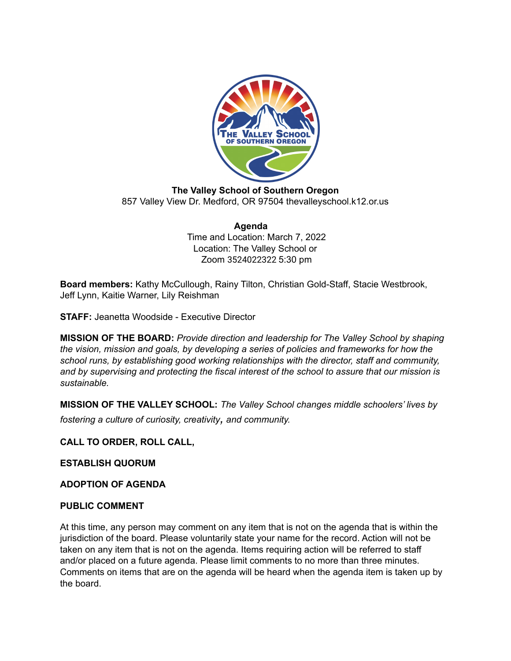

**The Valley School of Southern Oregon** 857 Valley View Dr. Medford, OR 97504 thevalleyschool.k12.or.us

#### **Agenda** Time and Location: March 7, 2022 Location: The Valley School or Zoom 3524022322 5:30 pm

**Board members:** Kathy McCullough, Rainy Tilton, Christian Gold-Staff, Stacie Westbrook, Jeff Lynn, Kaitie Warner, Lily Reishman

**STAFF:** Jeanetta Woodside - Executive Director

**MISSION OF THE BOARD:** *Provide direction and leadership for The Valley School by shaping the vision, mission and goals, by developing a series of policies and frameworks for how the school runs, by establishing good working relationships with the director, staff and community, and by supervising and protecting the fiscal interest of the school to assure that our mission is sustainable.*

**MISSION OF THE VALLEY SCHOOL:** *The Valley School changes middle schoolers' lives by fostering <sup>a</sup> culture of curiosity, creativity, and community.*

**CALL TO ORDER, ROLL CALL,**

**ESTABLISH QUORUM**

**ADOPTION OF AGENDA**

#### **PUBLIC COMMENT**

At this time, any person may comment on any item that is not on the agenda that is within the jurisdiction of the board. Please voluntarily state your name for the record. Action will not be taken on any item that is not on the agenda. Items requiring action will be referred to staff and/or placed on a future agenda. Please limit comments to no more than three minutes. Comments on items that are on the agenda will be heard when the agenda item is taken up by the board.